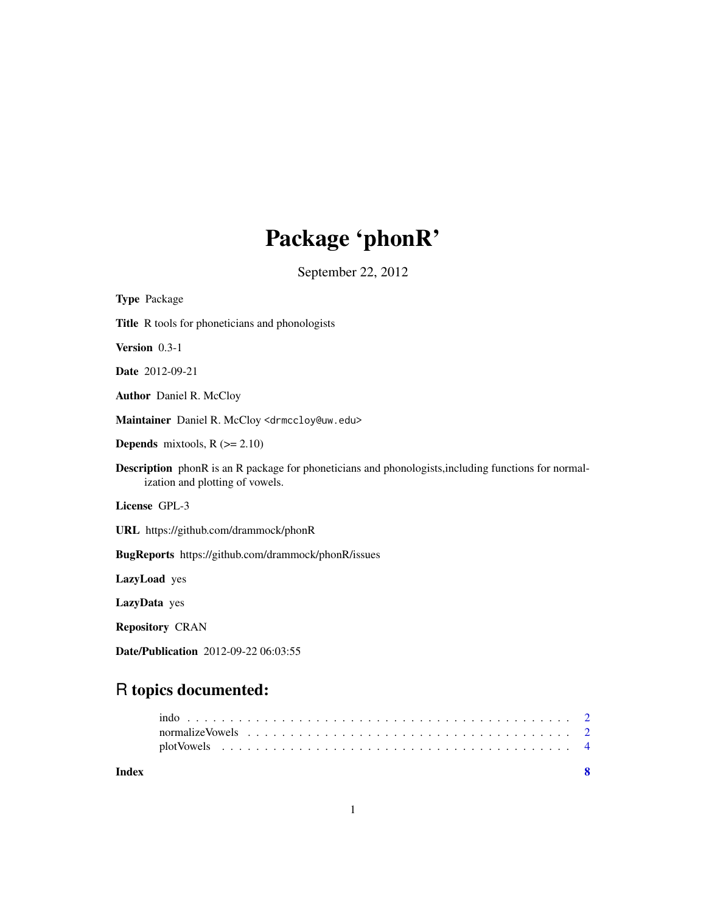# Package 'phonR'

September 22, 2012

| <b>Type Package</b>                                                                                                                            |
|------------------------------------------------------------------------------------------------------------------------------------------------|
| Title R tools for phoneticians and phonologists                                                                                                |
| Version 0.3-1                                                                                                                                  |
| Date 2012-09-21                                                                                                                                |
| <b>Author</b> Daniel R. McCloy                                                                                                                 |
| Maintainer Daniel R. McCloy <drmccloy@uw.edu></drmccloy@uw.edu>                                                                                |
| <b>Depends</b> mixtools, $R$ ( $>= 2.10$ )                                                                                                     |
| <b>Description</b> phonR is an R package for phoneticians and phonologists, including functions for normal-<br>ization and plotting of vowels. |
| License GPL-3                                                                                                                                  |
| URL https://github.com/drammock/phonR                                                                                                          |
| BugReports https://github.com/drammock/phonR/issues                                                                                            |
| LazyLoad yes                                                                                                                                   |
| LazyData yes                                                                                                                                   |
| <b>Repository CRAN</b>                                                                                                                         |
| Date/Publication 2012-09-22 06:03:55                                                                                                           |

# R topics documented:

| Index |  |  |  |  |  |  |  |  |  |  |  |  |  |  |  |  |
|-------|--|--|--|--|--|--|--|--|--|--|--|--|--|--|--|--|
|       |  |  |  |  |  |  |  |  |  |  |  |  |  |  |  |  |
|       |  |  |  |  |  |  |  |  |  |  |  |  |  |  |  |  |
|       |  |  |  |  |  |  |  |  |  |  |  |  |  |  |  |  |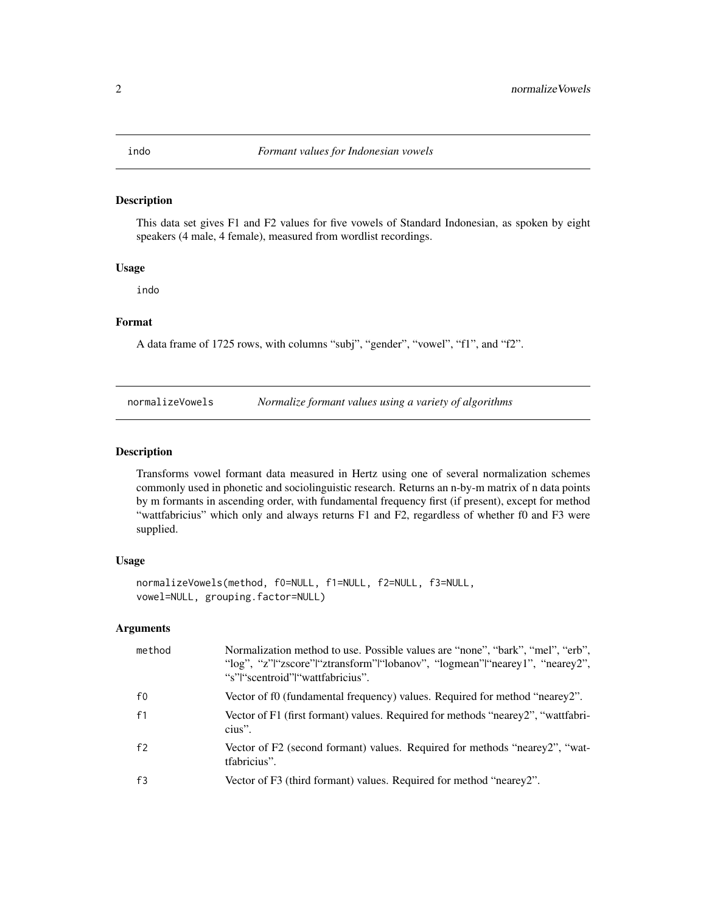<span id="page-1-0"></span>

#### Description

This data set gives F1 and F2 values for five vowels of Standard Indonesian, as spoken by eight speakers (4 male, 4 female), measured from wordlist recordings.

# Usage

indo

# Format

A data frame of 1725 rows, with columns "subj", "gender", "vowel", "f1", and "f2".

<span id="page-1-1"></span>

| normalizeVowels | Normalize formant values using a variety of algorithms |
|-----------------|--------------------------------------------------------|
|                 |                                                        |

#### Description

Transforms vowel formant data measured in Hertz using one of several normalization schemes commonly used in phonetic and sociolinguistic research. Returns an n-by-m matrix of n data points by m formants in ascending order, with fundamental frequency first (if present), except for method "wattfabricius" which only and always returns F1 and F2, regardless of whether f0 and F3 were supplied.

#### Usage

```
normalizeVowels(method, f0=NULL, f1=NULL, f2=NULL, f3=NULL,
vowel=NULL, grouping.factor=NULL)
```
# Arguments

| method         | Normalization method to use. Possible values are "none", "bark", "mel", "erb",<br>"log", "z" "zscore" "ztransform" "lobanov", "logmean" "nearey1", "nearey2",<br>"s" "scentroid" "wattfabricius". |
|----------------|---------------------------------------------------------------------------------------------------------------------------------------------------------------------------------------------------|
| $f_{0}$        | Vector of f0 (fundamental frequency) values. Required for method "nearey2".                                                                                                                       |
| f1             | Vector of F1 (first formant) values. Required for methods "nearey2", "wattfabri-<br>cius".                                                                                                        |
| f <sub>2</sub> | Vector of F2 (second formant) values. Required for methods "nearey2", "wat-<br>tfabricius".                                                                                                       |
| f3             | Vector of F3 (third formant) values. Required for method "nearey2".                                                                                                                               |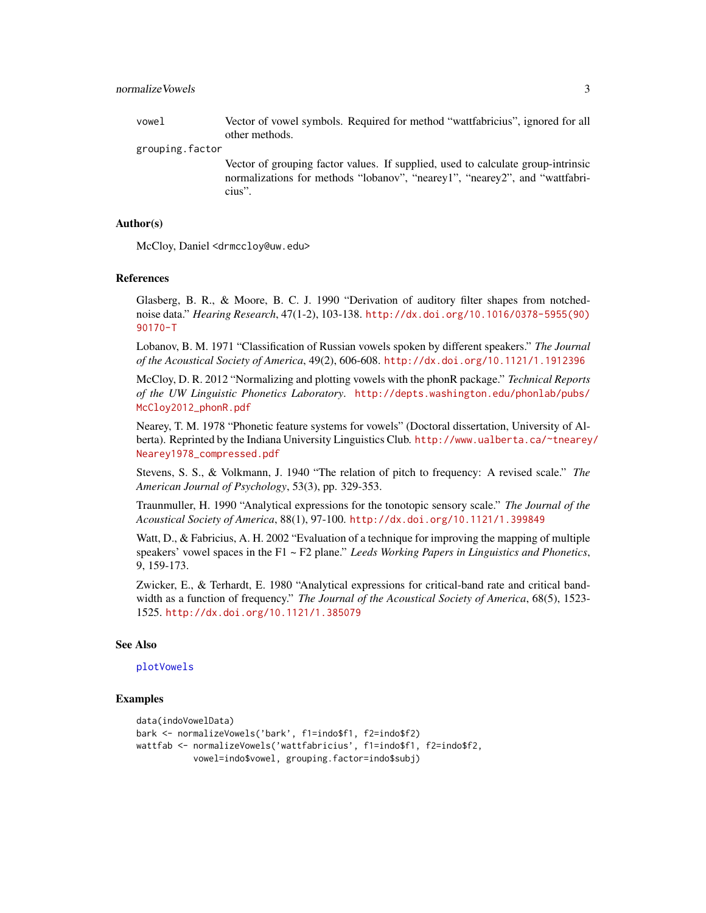#### <span id="page-2-0"></span>normalizeVowels 3

vowel Vector of vowel symbols. Required for method "wattfabricius", ignored for all other methods.

grouping.factor

Vector of grouping factor values. If supplied, used to calculate group-intrinsic normalizations for methods "lobanov", "nearey1", "nearey2", and "wattfabricius".

#### Author(s)

McCloy, Daniel <drmccloy@uw.edu>

#### References

Glasberg, B. R., & Moore, B. C. J. 1990 "Derivation of auditory filter shapes from notchednoise data." *Hearing Research*, 47(1-2), 103-138. [http://dx.doi.org/10.1016/0378-5955\(90\)](http://dx.doi.org/10.1016/0378-5955(90)90170-T) [90170-T](http://dx.doi.org/10.1016/0378-5955(90)90170-T)

Lobanov, B. M. 1971 "Classification of Russian vowels spoken by different speakers." *The Journal of the Acoustical Society of America*, 49(2), 606-608. <http://dx.doi.org/10.1121/1.1912396>

McCloy, D. R. 2012 "Normalizing and plotting vowels with the phonR package." *Technical Reports of the UW Linguistic Phonetics Laboratory*. [http://depts.washington.edu/phonlab/pubs/](http://depts.washington.edu/phonlab/pubs/McCloy2012_phonR.pdf) [McCloy2012\\_phonR.pdf](http://depts.washington.edu/phonlab/pubs/McCloy2012_phonR.pdf)

Nearey, T. M. 1978 "Phonetic feature systems for vowels" (Doctoral dissertation, University of Alberta). Reprinted by the Indiana University Linguistics Club. [http://www.ualberta.ca/~tnearey](http://www.ualberta.ca/~tnearey/Nearey1978_compressed.pdf)/ [Nearey1978\\_compressed.pdf](http://www.ualberta.ca/~tnearey/Nearey1978_compressed.pdf)

Stevens, S. S., & Volkmann, J. 1940 "The relation of pitch to frequency: A revised scale." *The American Journal of Psychology*, 53(3), pp. 329-353.

Traunmuller, H. 1990 "Analytical expressions for the tonotopic sensory scale." *The Journal of the Acoustical Society of America*, 88(1), 97-100. <http://dx.doi.org/10.1121/1.399849>

Watt, D., & Fabricius, A. H. 2002 "Evaluation of a technique for improving the mapping of multiple speakers' vowel spaces in the F1 ~ F2 plane." *Leeds Working Papers in Linguistics and Phonetics*, 9, 159-173.

Zwicker, E., & Terhardt, E. 1980 "Analytical expressions for critical-band rate and critical bandwidth as a function of frequency." *The Journal of the Acoustical Society of America*, 68(5), 1523- 1525. <http://dx.doi.org/10.1121/1.385079>

#### See Also

#### [plotVowels](#page-3-1)

#### Examples

```
data(indoVowelData)
bark <- normalizeVowels('bark', f1=indo$f1, f2=indo$f2)
wattfab <- normalizeVowels('wattfabricius', f1=indo$f1, f2=indo$f2,
          vowel=indo$vowel, grouping.factor=indo$subj)
```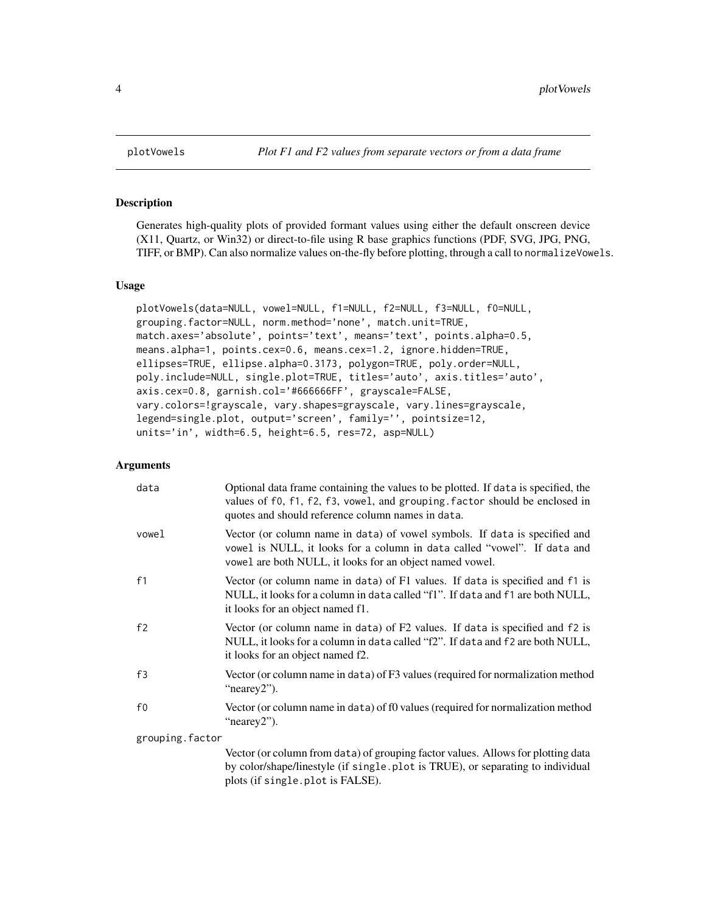# Description

Generates high-quality plots of provided formant values using either the default onscreen device (X11, Quartz, or Win32) or direct-to-file using R base graphics functions (PDF, SVG, JPG, PNG, TIFF, or BMP). Can also normalize values on-the-fly before plotting, through a call to normalizeVowels.

#### Usage

```
plotVowels(data=NULL, vowel=NULL, f1=NULL, f2=NULL, f3=NULL, f0=NULL,
grouping.factor=NULL, norm.method='none', match.unit=TRUE,
match.axes='absolute', points='text', means='text', points.alpha=0.5,
means.alpha=1, points.cex=0.6, means.cex=1.2, ignore.hidden=TRUE,
ellipses=TRUE, ellipse.alpha=0.3173, polygon=TRUE, poly.order=NULL,
poly.include=NULL, single.plot=TRUE, titles='auto', axis.titles='auto',
axis.cex=0.8, garnish.col='#666666FF', grayscale=FALSE,
vary.colors=!grayscale, vary.shapes=grayscale, vary.lines=grayscale,
legend=single.plot, output='screen', family='', pointsize=12,
units='in', width=6.5, height=6.5, res=72, asp=NULL)
```
#### Arguments

| data            | Optional data frame containing the values to be plotted. If data is specified, the<br>values of f0, f1, f2, f3, vowel, and grouping. factor should be enclosed in<br>quotes and should reference column names in data. |
|-----------------|------------------------------------------------------------------------------------------------------------------------------------------------------------------------------------------------------------------------|
| vowel           | Vector (or column name in data) of vowel symbols. If data is specified and<br>vowel is NULL, it looks for a column in data called "vowel". If data and<br>vowel are both NULL, it looks for an object named vowel.     |
| f1              | Vector (or column name in data) of F1 values. If data is specified and f1 is<br>NULL, it looks for a column in data called "f1". If data and f1 are both NULL,<br>it looks for an object named f1.                     |
| f2              | Vector (or column name in data) of F2 values. If data is specified and f2 is<br>NULL, it looks for a column in data called "f2". If data and f2 are both NULL,<br>it looks for an object named f2.                     |
| f3              | Vector (or column name in data) of F3 values (required for normalization method<br>"nearey2").                                                                                                                         |
| f0              | Vector (or column name in data) of f0 values (required for normalization method<br>"nearey2").                                                                                                                         |
| grouping.factor |                                                                                                                                                                                                                        |
|                 | Vector (or column from data) of grouping factor values. Allows for plotting data<br>by color/shape/linestyle (if single.plot is TRUE), or separating to individual<br>plots (if single.plot is FALSE).                 |

<span id="page-3-0"></span>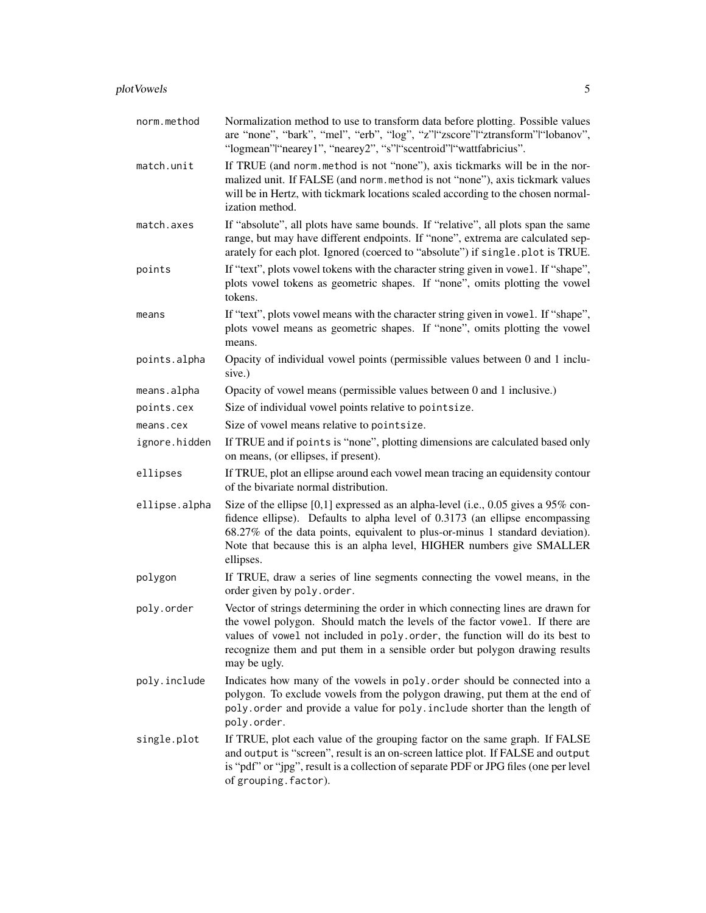| norm.method   | Normalization method to use to transform data before plotting. Possible values<br>are "none", "bark", "mel", "erb", "log", "z"l"zscore" "ztransform" "lobanov",<br>"logmean" "nearey1", "nearey2", "s" "scentroid" "wattfabricius".                                                                                                             |
|---------------|-------------------------------------------------------------------------------------------------------------------------------------------------------------------------------------------------------------------------------------------------------------------------------------------------------------------------------------------------|
| match.unit    | If TRUE (and norm.method is not "none"), axis tickmarks will be in the nor-<br>malized unit. If FALSE (and norm.method is not "none"), axis tickmark values<br>will be in Hertz, with tickmark locations scaled according to the chosen normal-<br>ization method.                                                                              |
| match.axes    | If "absolute", all plots have same bounds. If "relative", all plots span the same<br>range, but may have different endpoints. If "none", extrema are calculated sep-<br>arately for each plot. Ignored (coerced to "absolute") if single.plot is TRUE.                                                                                          |
| points        | If "text", plots vowel tokens with the character string given in vowel. If "shape",<br>plots vowel tokens as geometric shapes. If "none", omits plotting the vowel<br>tokens.                                                                                                                                                                   |
| means         | If "text", plots vowel means with the character string given in vowel. If "shape",<br>plots vowel means as geometric shapes. If "none", omits plotting the vowel<br>means.                                                                                                                                                                      |
| points.alpha  | Opacity of individual vowel points (permissible values between 0 and 1 inclu-<br>sive.)                                                                                                                                                                                                                                                         |
| means.alpha   | Opacity of vowel means (permissible values between 0 and 1 inclusive.)                                                                                                                                                                                                                                                                          |
| points.cex    | Size of individual vowel points relative to point size.                                                                                                                                                                                                                                                                                         |
| means.cex     | Size of vowel means relative to point size.                                                                                                                                                                                                                                                                                                     |
| ignore.hidden | If TRUE and if points is "none", plotting dimensions are calculated based only<br>on means, (or ellipses, if present).                                                                                                                                                                                                                          |
| ellipses      | If TRUE, plot an ellipse around each vowel mean tracing an equidensity contour<br>of the bivariate normal distribution.                                                                                                                                                                                                                         |
| ellipse.alpha | Size of the ellipse $[0,1]$ expressed as an alpha-level (i.e., 0.05 gives a 95% con-<br>fidence ellipse). Defaults to alpha level of 0.3173 (an ellipse encompassing<br>68.27% of the data points, equivalent to plus-or-minus 1 standard deviation).<br>Note that because this is an alpha level, HIGHER numbers give SMALLER<br>ellipses.     |
| polygon       | If TRUE, draw a series of line segments connecting the vowel means, in the<br>order given by poly.order.                                                                                                                                                                                                                                        |
| poly.order    | Vector of strings determining the order in which connecting lines are drawn for<br>the vowel polygon. Should match the levels of the factor vowel. If there are<br>values of vowel not included in poly. order, the function will do its best to<br>recognize them and put them in a sensible order but polygon drawing results<br>may be ugly. |
| poly.include  | Indicates how many of the vowels in poly. order should be connected into a<br>polygon. To exclude vowels from the polygon drawing, put them at the end of<br>poly.order and provide a value for poly.include shorter than the length of<br>poly.order.                                                                                          |
| single.plot   | If TRUE, plot each value of the grouping factor on the same graph. If FALSE<br>and output is "screen", result is an on-screen lattice plot. If FALSE and output<br>is "pdf" or "jpg", result is a collection of separate PDF or JPG files (one per level<br>of grouping. factor).                                                               |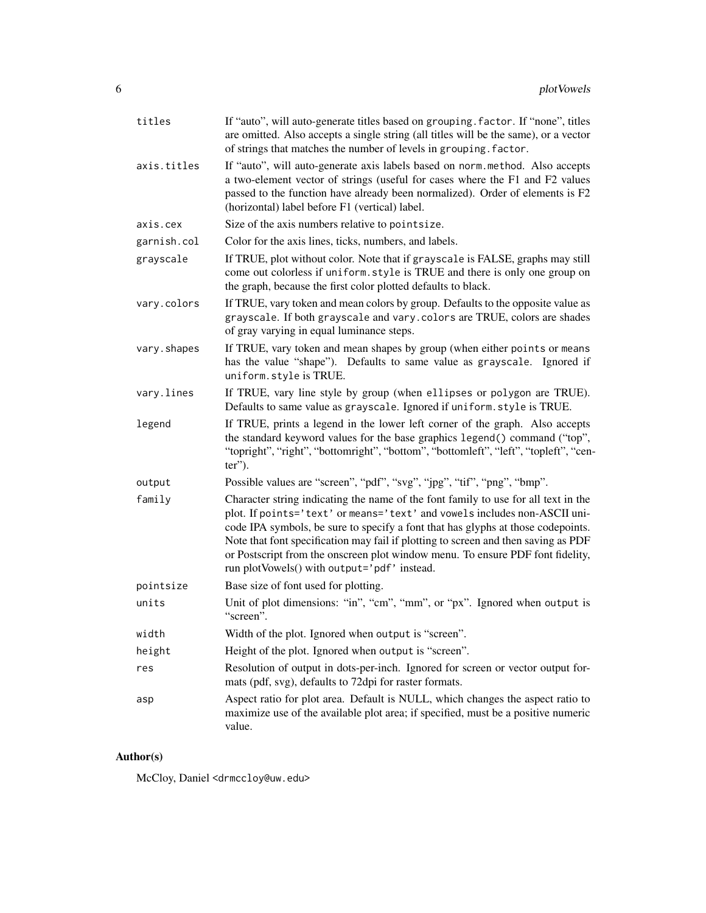| titles      | If "auto", will auto-generate titles based on grouping. factor. If "none", titles<br>are omitted. Also accepts a single string (all titles will be the same), or a vector<br>of strings that matches the number of levels in grouping. factor.                                                                                                                                                                                                                             |
|-------------|----------------------------------------------------------------------------------------------------------------------------------------------------------------------------------------------------------------------------------------------------------------------------------------------------------------------------------------------------------------------------------------------------------------------------------------------------------------------------|
| axis.titles | If "auto", will auto-generate axis labels based on norm.method. Also accepts<br>a two-element vector of strings (useful for cases where the F1 and F2 values<br>passed to the function have already been normalized). Order of elements is F2<br>(horizontal) label before F1 (vertical) label.                                                                                                                                                                            |
| axis.cex    | Size of the axis numbers relative to point size.                                                                                                                                                                                                                                                                                                                                                                                                                           |
| garnish.col | Color for the axis lines, ticks, numbers, and labels.                                                                                                                                                                                                                                                                                                                                                                                                                      |
| grayscale   | If TRUE, plot without color. Note that if grayscale is FALSE, graphs may still<br>come out colorless if uniform. style is TRUE and there is only one group on<br>the graph, because the first color plotted defaults to black.                                                                                                                                                                                                                                             |
| vary.colors | If TRUE, vary token and mean colors by group. Defaults to the opposite value as<br>grayscale. If both grayscale and vary. colors are TRUE, colors are shades<br>of gray varying in equal luminance steps.                                                                                                                                                                                                                                                                  |
| vary.shapes | If TRUE, vary token and mean shapes by group (when either points or means<br>has the value "shape"). Defaults to same value as grayscale. Ignored if<br>uniform.style is TRUE.                                                                                                                                                                                                                                                                                             |
| vary.lines  | If TRUE, vary line style by group (when ellipses or polygon are TRUE).<br>Defaults to same value as grayscale. Ignored if uniform. style is TRUE.                                                                                                                                                                                                                                                                                                                          |
| legend      | If TRUE, prints a legend in the lower left corner of the graph. Also accepts<br>the standard keyword values for the base graphics legend() command ("top",<br>"topright", "right", "bottomright", "bottom", "bottomleft", "left", "topleft", "cen-<br>$ter$ ").                                                                                                                                                                                                            |
| output      | Possible values are "screen", "pdf", "svg", "jpg", "tif", "png", "bmp".                                                                                                                                                                                                                                                                                                                                                                                                    |
| family      | Character string indicating the name of the font family to use for all text in the<br>plot. If points='text' or means='text' and vowels includes non-ASCII uni-<br>code IPA symbols, be sure to specify a font that has glyphs at those codepoints.<br>Note that font specification may fail if plotting to screen and then saving as PDF<br>or Postscript from the onscreen plot window menu. To ensure PDF font fidelity,<br>run plotVowels() with output='pdf' instead. |
| pointsize   | Base size of font used for plotting.                                                                                                                                                                                                                                                                                                                                                                                                                                       |
| units       | Unit of plot dimensions: "in", "cm", "mm", or "px". Ignored when output is<br>"screen".                                                                                                                                                                                                                                                                                                                                                                                    |
| width       | Width of the plot. Ignored when output is "screen".                                                                                                                                                                                                                                                                                                                                                                                                                        |
| height      | Height of the plot. Ignored when output is "screen".                                                                                                                                                                                                                                                                                                                                                                                                                       |
| res         | Resolution of output in dots-per-inch. Ignored for screen or vector output for-<br>mats (pdf, svg), defaults to 72dpi for raster formats.                                                                                                                                                                                                                                                                                                                                  |
| asp         | Aspect ratio for plot area. Default is NULL, which changes the aspect ratio to<br>maximize use of the available plot area; if specified, must be a positive numeric<br>value.                                                                                                                                                                                                                                                                                              |

# Author(s)

McCloy, Daniel <drmccloy@uw.edu>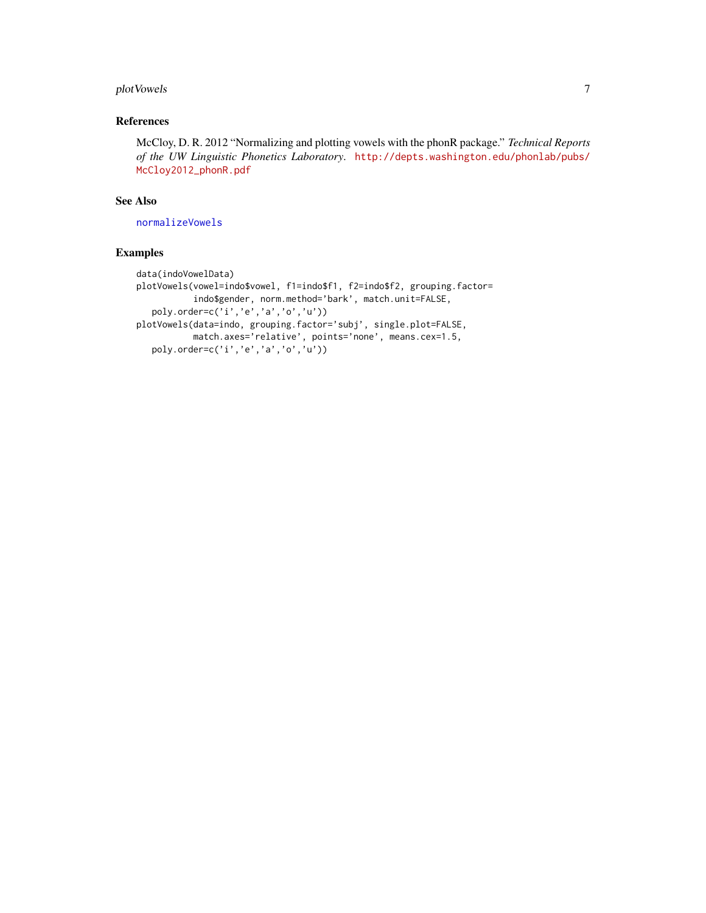# <span id="page-6-0"></span>plot Vowels 7

## References

McCloy, D. R. 2012 "Normalizing and plotting vowels with the phonR package." *Technical Reports of the UW Linguistic Phonetics Laboratory*. [http://depts.washington.edu/phonlab/pubs/](http://depts.washington.edu/phonlab/pubs/McCloy2012_phonR.pdf) [McCloy2012\\_phonR.pdf](http://depts.washington.edu/phonlab/pubs/McCloy2012_phonR.pdf)

#### See Also

[normalizeVowels](#page-1-1)

# Examples

```
data(indoVowelData)
plotVowels(vowel=indo$vowel, f1=indo$f1, f2=indo$f2, grouping.factor=
           indo$gender, norm.method='bark', match.unit=FALSE,
   poly.order=c('i','e','a','o','u'))
plotVowels(data=indo, grouping.factor='subj', single.plot=FALSE,
          match.axes='relative', points='none', means.cex=1.5,
   poly.order=c('i','e','a','o','u'))
```